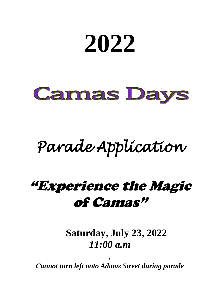# **2022 Camas Days**

## *Parade Application*

### "Experience the Magic of Camas"

**Saturday, July 23, 2022** *11:00 a.m*

*Cannot turn left onto Adams Street during parade* 

*.*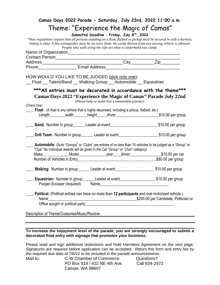| Camas Days 2022 Parade - Saturday, July 23rd, 2022 11:00 a.m.                                                       |                                                                  |                                       |
|---------------------------------------------------------------------------------------------------------------------|------------------------------------------------------------------|---------------------------------------|
| Theme: "Experience the Magic of Camas"                                                                              |                                                                  |                                       |
|                                                                                                                     | Submittal Deadline - Friday, July 8 <sup>th</sup> , 2022         |                                       |
| *New regulations require that all persons standing on a float, flatbed or pickup must be secured in with a harness. |                                                                  |                                       |
| Sitting is okay. A fire extinguisher must be on every float. No candy thrown from any moving vehicle is allowed.    | People who walk along the side are okay to underhand toss candy. |                                       |
|                                                                                                                     |                                                                  |                                       |
|                                                                                                                     |                                                                  |                                       |
|                                                                                                                     |                                                                  |                                       |
|                                                                                                                     |                                                                  |                                       |
| HOW WOULD YOU LIKE TO BE JUDGED (pick only one):                                                                    |                                                                  |                                       |
| _ Float _ Talent/Band _ Walking Group _ Automobile _ Equestrian                                                     |                                                                  |                                       |
| *** All entries must be decorated in accordance with the theme***                                                   |                                                                  |                                       |
| Camas Days 2022 "Experience the Magic of Camas" Parade July 22nd                                                    |                                                                  |                                       |
|                                                                                                                     | (Please help us make this a memorable journey)                   |                                       |
| (Check One)                                                                                                         |                                                                  |                                       |
| <b>Float:</b> (A float is any vehicle that is highly decorated, including a pickup, flatbed, etc.)                  |                                                                  |                                       |
| Length________width_______height_____driver_____________________________\$10.00 per group                           |                                                                  |                                       |
| <b>Band:</b> Number in group_________ Leader at event_________________________________\$10.00 per group             |                                                                  |                                       |
| Drill Team: Number in group________ Leader at event__________________________\$10.00 per group                      |                                                                  |                                       |
| <b>Automobile:</b> (Auto "Groups" or "Clubs" are entries of no less than 10 vehicles to be judged as a "Group" or   |                                                                  |                                       |
| "Club" No individual awards will be given in the Car "Group" or "Club" category)                                    |                                                                  |                                       |
|                                                                                                                     |                                                                  |                                       |
|                                                                                                                     |                                                                  |                                       |
| Walking: Number in group_______ Leader at event__________________________\$10.00 per group                          |                                                                  |                                       |
| <b>Equestrian:</b> Number in group_________Leader at event_______________________\$10.00 per group                  |                                                                  |                                       |
| Pooper-Scooper (required)                                                                                           |                                                                  |                                       |
|                                                                                                                     |                                                                  |                                       |
| Political: (Political entries can have no more than 12 participants and one motorized vehicle.)                     |                                                                  |                                       |
| Name                                                                                                                |                                                                  | \$200.00 per Candidate, Politician or |
|                                                                                                                     |                                                                  |                                       |
| Description of Theme/Costumes/Music/Routine                                                                         |                                                                  |                                       |
|                                                                                                                     |                                                                  |                                       |
|                                                                                                                     |                                                                  |                                       |

#### **To increase the enjoyment level of the parade, you are strongly encouraged to submit a decorated float entry with signage that promotes your business.**

Please read and sign additional restrictions and Hold Harmless Agreement on the next page. Signatures are required before application can be accepted. Return this form and entry fee by the required due date of 7/8/22 to be included in the parade announcements.<br>Mail to: C-W Chamber of Commerce Questions?

C-W Chamber of Commerce PO Box 919 / 422 NE 4th Ave. Call 834-2472 Camas, WA 98607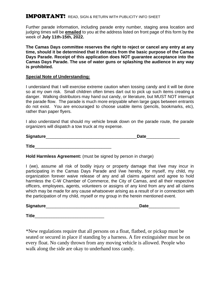#### IMPORTANT! READ, SIGN & RETURN WITH PUBLICITY INFO SHEET

Further parade information, including parade entry number, staging area location and judging times will be **emailed** to you at the address listed on front page of this form by the week of **July 11th-15th, 2022.**

**The Camas Days committee reserves the right to reject or cancel any entry at any time, should it be determined that it detracts from the basic purpose of the Camas Days Parade. Receipt of this application does NOT guarantee acceptance into the Camas Days Parade. The use of water guns or splashing the audience in any way is prohibited.** 

#### **Special Note of Understanding:**

I understand that I will exercise extreme caution when tossing candy and it will be done so at my own risk. Small children often times dart out to pick up such items creating a danger. Walking distributors may hand out candy, or literature, but MUST NOT interrupt the parade flow. The parade is much more enjoyable when large gaps between entrants do not exist. You are encouraged to choose usable items (pencils, bookmarks, etc), rather than paper flyers.

I also understand that should my vehicle break down on the parade route, the parade organizers will dispatch a tow truck at my expense.

| Signature | Date |
|-----------|------|
|           |      |

**Title**\_\_\_\_\_\_\_\_\_\_\_\_\_\_\_\_\_\_\_\_\_\_\_\_\_\_\_\_\_\_\_\_

**Hold Harmless Agreement:** (must be signed by person in charge)

I (we), assume all risk of bodily injury or property damage that I/we may incur in participating in the Camas Days Parade and I/we hereby, for myself, my child, my organization forever waive release of any and all claims against and agree to hold harmless the C-W Chamber of Commerce, the City of Camas, and all their respective officers, employees, agents, volunteers or assigns of any kind from any and all claims which may be made for any cause whatsoever arising as a result of or in connection with the participation of my child, myself or my group in the herein mentioned event.

**Signature**\_\_\_\_\_\_\_\_\_\_\_\_\_\_\_\_\_\_\_\_\_\_\_\_\_\_\_\_\_\_\_\_\_\_\_\_\_\_\_**Date**\_\_\_\_\_\_\_\_\_\_\_\_\_

**Title** 

\*New regulations require that all persons on a float, flatbed, or pickup must be seated or secured in place if standing by a harness. A fire extinguisher must be on every float. No candy thrown from any moving vehicle is allowed. People who walk along the side are okay to underhand toss candy.